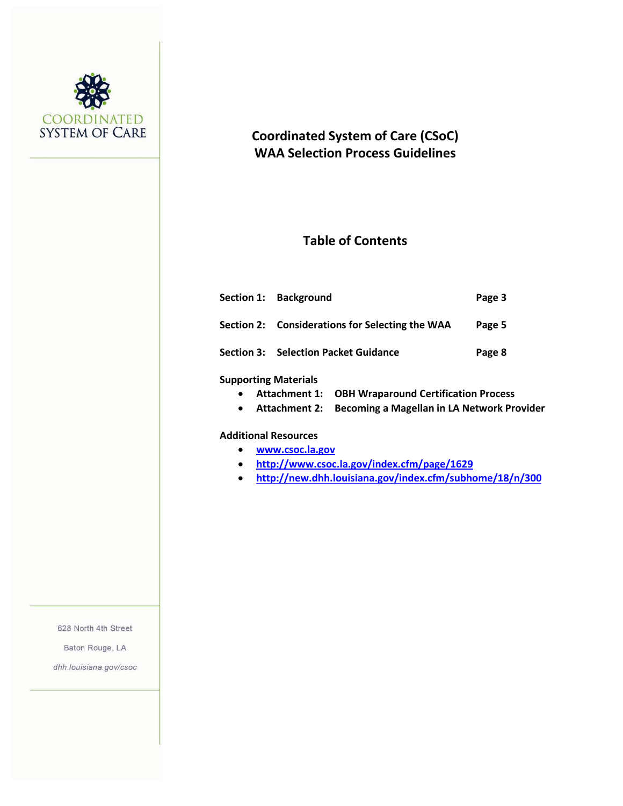

# **Coordinated System of Care (CSoC) WAA Selection Process Guidelines**

# **Table of Contents**

|                      | Section 1: Background                           | Page 3 |
|----------------------|-------------------------------------------------|--------|
|                      | Section 2: Considerations for Selecting the WAA | Page 5 |
|                      | <b>Section 3: Selection Packet Guidance</b>     | Page 8 |
| Cunnorting Materials |                                                 |        |

#### **Supporting Materials**

- **Attachment 1: OBH Wraparound Certification Process**
- **Attachment 2: Becoming a Magellan in LA Network Provider**

#### **Additional Resources**

- **[www.csoc.la.gov](http://www.csoc.la.gov/)**
- **<http://www.csoc.la.gov/index.cfm/page/1629>**
- **<http://new.dhh.louisiana.gov/index.cfm/subhome/18/n/300>**

628 North 4th Street

Baton Rouge, LA

dhh.louisiana.gov/csoc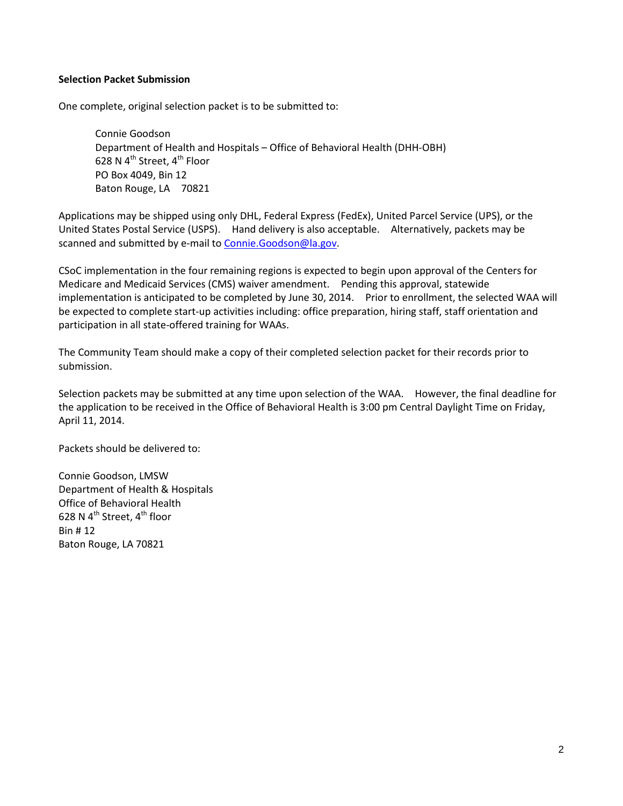### **Selection Packet Submission**

One complete, original selection packet is to be submitted to:

Connie Goodson Department of Health and Hospitals – Office of Behavioral Health (DHH-OBH) 628 N  $4^{\text{th}}$  Street,  $4^{\text{th}}$  Floor PO Box 4049, Bin 12 Baton Rouge, LA 70821

Applications may be shipped using only DHL, Federal Express (FedEx), United Parcel Service (UPS), or the United States Postal Service (USPS). Hand delivery is also acceptable. Alternatively, packets may be scanned and submitted by e-mail to [Connie.Goodson@la.gov.](mailto:Connie.Goodson@la.gov)

CSoC implementation in the four remaining regions is expected to begin upon approval of the Centers for Medicare and Medicaid Services (CMS) waiver amendment. Pending this approval, statewide implementation is anticipated to be completed by June 30, 2014. Prior to enrollment, the selected WAA will be expected to complete start-up activities including: office preparation, hiring staff, staff orientation and participation in all state-offered training for WAAs.

The Community Team should make a copy of their completed selection packet for their records prior to submission.

Selection packets may be submitted at any time upon selection of the WAA. However, the final deadline for the application to be received in the Office of Behavioral Health is 3:00 pm Central Daylight Time on Friday, April 11, 2014.

Packets should be delivered to:

Connie Goodson, LMSW Department of Health & Hospitals Office of Behavioral Health 628 N  $4^{\text{th}}$  Street,  $4^{\text{th}}$  floor Bin # 12 Baton Rouge, LA 70821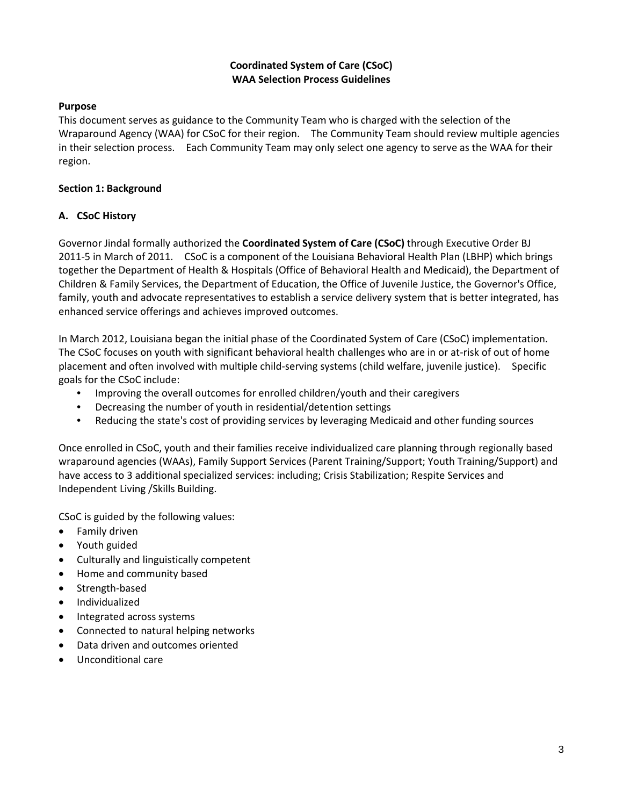# **Coordinated System of Care (CSoC) WAA Selection Process Guidelines**

# **Purpose**

This document serves as guidance to the Community Team who is charged with the selection of the Wraparound Agency (WAA) for CSoC for their region. The Community Team should review multiple agencies in their selection process. Each Community Team may only select one agency to serve as the WAA for their region.

## **Section 1: Background**

# **A. CSoC History**

Governor Jindal formally authorized the **Coordinated System of Care (CSoC)** through Executive Order BJ 2011-5 in March of 2011. CSoC is a component of the Louisiana Behavioral Health Plan (LBHP) which brings together the Department of Health & Hospitals (Office of Behavioral Health and Medicaid), the Department of Children & Family Services, the Department of Education, the Office of Juvenile Justice, the Governor's Office, family, youth and advocate representatives to establish a service delivery system that is better integrated, has enhanced service offerings and achieves improved outcomes.

In March 2012, Louisiana began the initial phase of the Coordinated System of Care (CSoC) implementation. The CSoC focuses on youth with significant behavioral health challenges who are in or at-risk of out of home placement and often involved with multiple child-serving systems (child welfare, juvenile justice). Specific goals for the CSoC include:

- Improving the overall outcomes for enrolled children/youth and their caregivers
- Decreasing the number of youth in residential/detention settings
- Reducing the state's cost of providing services by leveraging Medicaid and other funding sources

Once enrolled in CSoC, youth and their families receive individualized care planning through regionally based wraparound agencies (WAAs), Family Support Services (Parent Training/Support; Youth Training/Support) and have access to 3 additional specialized services: including; Crisis Stabilization; Respite Services and Independent Living /Skills Building.

CSoC is guided by the following values:

- Family driven
- Youth guided
- Culturally and linguistically competent
- Home and community based
- Strength-based
- Individualized
- Integrated across systems
- Connected to natural helping networks
- Data driven and outcomes oriented
- Unconditional care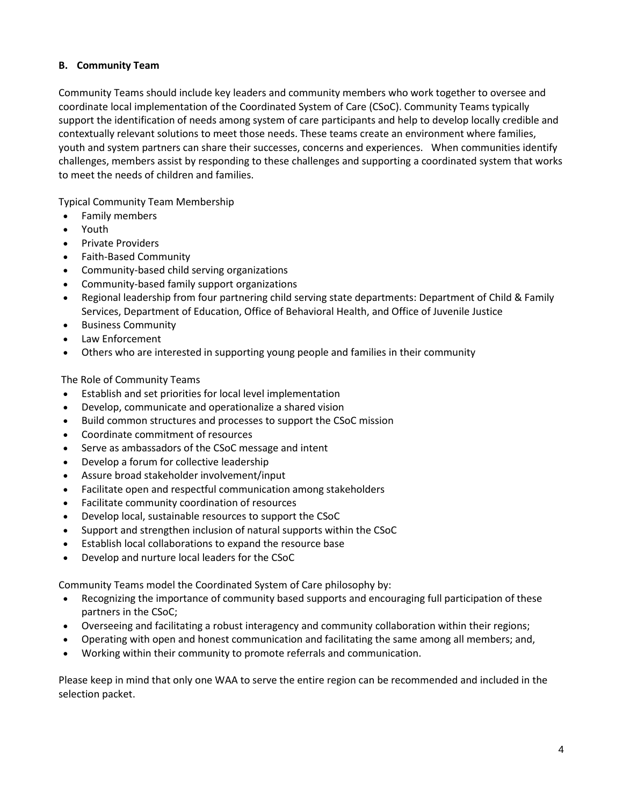# **B. Community Team**

Community Teams should include key leaders and community members who work together to oversee and coordinate local implementation of the Coordinated System of Care (CSoC). Community Teams typically support the identification of needs among system of care participants and help to develop locally credible and contextually relevant solutions to meet those needs. These teams create an environment where families, youth and system partners can share their successes, concerns and experiences. When communities identify challenges, members assist by responding to these challenges and supporting a coordinated system that works to meet the needs of children and families.

Typical Community Team Membership

- Family members
- Youth
- Private Providers
- Faith-Based Community
- Community-based child serving organizations
- Community-based family support organizations
- Regional leadership from four partnering child serving state departments: Department of Child & Family Services, Department of Education, Office of Behavioral Health, and Office of Juvenile Justice
- Business Community
- Law Enforcement
- Others who are interested in supporting young people and families in their community

The Role of Community Teams

- Establish and set priorities for local level implementation
- Develop, communicate and operationalize a shared vision
- Build common structures and processes to support the CSoC mission
- Coordinate commitment of resources
- Serve as ambassadors of the CSoC message and intent
- Develop a forum for collective leadership
- Assure broad stakeholder involvement/input
- Facilitate open and respectful communication among stakeholders
- Facilitate community coordination of resources
- Develop local, sustainable resources to support the CSoC
- Support and strengthen inclusion of natural supports within the CSoC
- Establish local collaborations to expand the resource base
- Develop and nurture local leaders for the CSoC

Community Teams model the Coordinated System of Care philosophy by:

- Recognizing the importance of community based supports and encouraging full participation of these partners in the CSoC;
- Overseeing and facilitating a robust interagency and community collaboration within their regions;
- Operating with open and honest communication and facilitating the same among all members; and,
- Working within their community to promote referrals and communication.

Please keep in mind that only one WAA to serve the entire region can be recommended and included in the selection packet.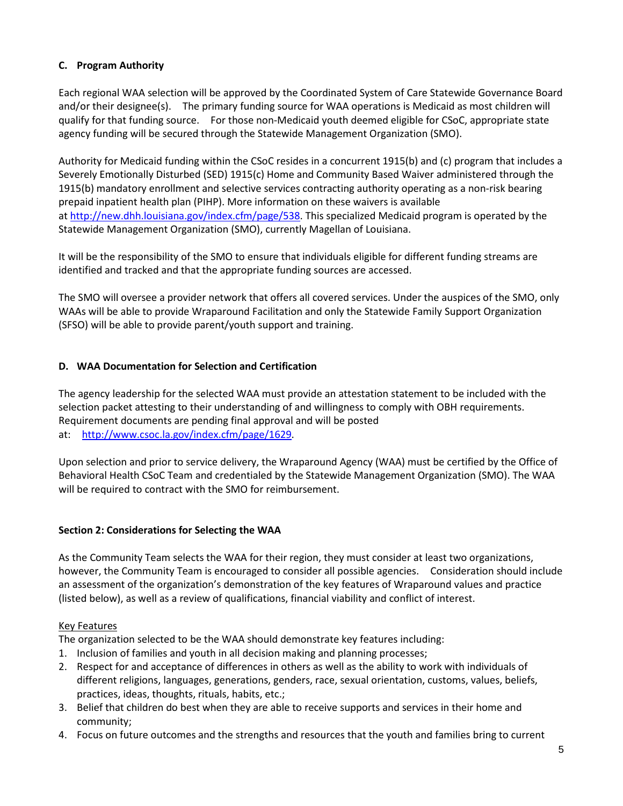# **C. Program Authority**

Each regional WAA selection will be approved by the Coordinated System of Care Statewide Governance Board and/or their designee(s). The primary funding source for WAA operations is Medicaid as most children will qualify for that funding source. For those non-Medicaid youth deemed eligible for CSoC, appropriate state agency funding will be secured through the Statewide Management Organization (SMO).

Authority for Medicaid funding within the CSoC resides in a concurrent 1915(b) and (c) program that includes a Severely Emotionally Disturbed (SED) 1915(c) Home and Community Based Waiver administered through the 1915(b) mandatory enrollment and selective services contracting authority operating as a non-risk bearing prepaid inpatient health plan (PIHP). More information on these waivers is available at [http://new.dhh.louisiana.gov/index.cfm/page/538.](http://new.dhh.louisiana.gov/index.cfm/page/538) This specialized Medicaid program is operated by the Statewide Management Organization (SMO), currently Magellan of Louisiana.

It will be the responsibility of the SMO to ensure that individuals eligible for different funding streams are identified and tracked and that the appropriate funding sources are accessed.

The SMO will oversee a provider network that offers all covered services. Under the auspices of the SMO, only WAAs will be able to provide Wraparound Facilitation and only the Statewide Family Support Organization (SFSO) will be able to provide parent/youth support and training.

# **D. WAA Documentation for Selection and Certification**

The agency leadership for the selected WAA must provide an attestation statement to be included with the selection packet attesting to their understanding of and willingness to comply with OBH requirements. Requirement documents are pending final approval and will be posted at: [http://www.csoc.la.gov/index.cfm/page/1629.](http://www.csoc.la.gov/index.cfm/page/1629)

Upon selection and prior to service delivery, the Wraparound Agency (WAA) must be certified by the Office of Behavioral Health CSoC Team and credentialed by the Statewide Management Organization (SMO). The WAA will be required to contract with the SMO for reimbursement.

#### **Section 2: Considerations for Selecting the WAA**

As the Community Team selects the WAA for their region, they must consider at least two organizations, however, the Community Team is encouraged to consider all possible agencies. Consideration should include an assessment of the organization's demonstration of the key features of Wraparound values and practice (listed below), as well as a review of qualifications, financial viability and conflict of interest.

#### Key Features

The organization selected to be the WAA should demonstrate key features including:

- 1. Inclusion of families and youth in all decision making and planning processes;
- 2. Respect for and acceptance of differences in others as well as the ability to work with individuals of different religions, languages, generations, genders, race, sexual orientation, customs, values, beliefs, practices, ideas, thoughts, rituals, habits, etc.;
- 3. Belief that children do best when they are able to receive supports and services in their home and community;
- 4. Focus on future outcomes and the strengths and resources that the youth and families bring to current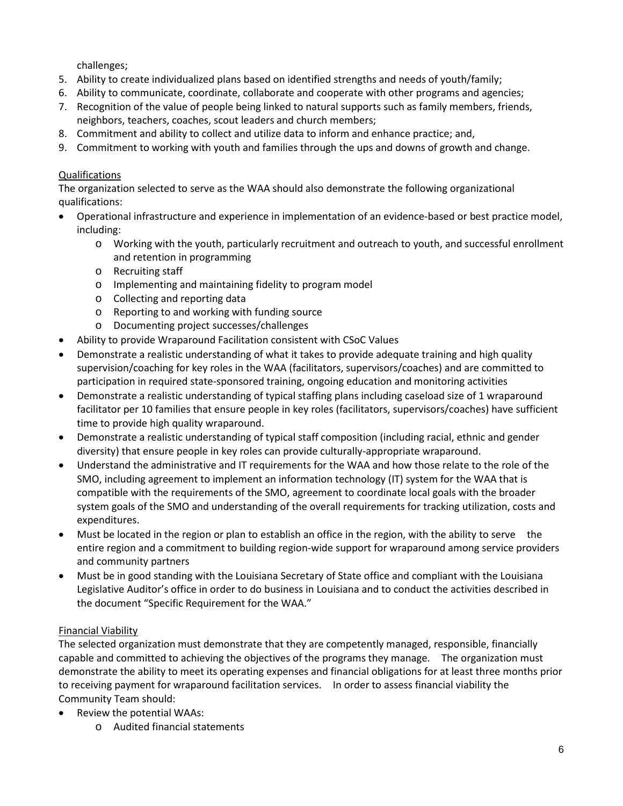challenges;

- 5. Ability to create individualized plans based on identified strengths and needs of youth/family;
- 6. Ability to communicate, coordinate, collaborate and cooperate with other programs and agencies;
- 7. Recognition of the value of people being linked to natural supports such as family members, friends, neighbors, teachers, coaches, scout leaders and church members;
- 8. Commitment and ability to collect and utilize data to inform and enhance practice; and,
- 9. Commitment to working with youth and families through the ups and downs of growth and change.

# Qualifications

The organization selected to serve as the WAA should also demonstrate the following organizational qualifications:

- Operational infrastructure and experience in implementation of an evidence-based or best practice model, including:
	- o Working with the youth, particularly recruitment and outreach to youth, and successful enrollment and retention in programming
	- o Recruiting staff
	- o Implementing and maintaining fidelity to program model
	- o Collecting and reporting data
	- o Reporting to and working with funding source
	- o Documenting project successes/challenges
- Ability to provide Wraparound Facilitation consistent with CSoC Values
- Demonstrate a realistic understanding of what it takes to provide adequate training and high quality supervision/coaching for key roles in the WAA (facilitators, supervisors/coaches) and are committed to participation in required state-sponsored training, ongoing education and monitoring activities
- Demonstrate a realistic understanding of typical staffing plans including caseload size of 1 wraparound facilitator per 10 families that ensure people in key roles (facilitators, supervisors/coaches) have sufficient time to provide high quality wraparound.
- Demonstrate a realistic understanding of typical staff composition (including racial, ethnic and gender diversity) that ensure people in key roles can provide culturally-appropriate wraparound.
- Understand the administrative and IT requirements for the WAA and how those relate to the role of the SMO, including agreement to implement an information technology (IT) system for the WAA that is compatible with the requirements of the SMO, agreement to coordinate local goals with the broader system goals of the SMO and understanding of the overall requirements for tracking utilization, costs and expenditures.
- Must be located in the region or plan to establish an office in the region, with the ability to serve the entire region and a commitment to building region-wide support for wraparound among service providers and community partners
- Must be in good standing with the Louisiana Secretary of State office and compliant with the Louisiana Legislative Auditor's office in order to do business in Louisiana and to conduct the activities described in the document "Specific Requirement for the WAA."

# Financial Viability

The selected organization must demonstrate that they are competently managed, responsible, financially capable and committed to achieving the objectives of the programs they manage. The organization must demonstrate the ability to meet its operating expenses and financial obligations for at least three months prior to receiving payment for wraparound facilitation services. In order to assess financial viability the Community Team should:

- Review the potential WAAs:
	- o Audited financial statements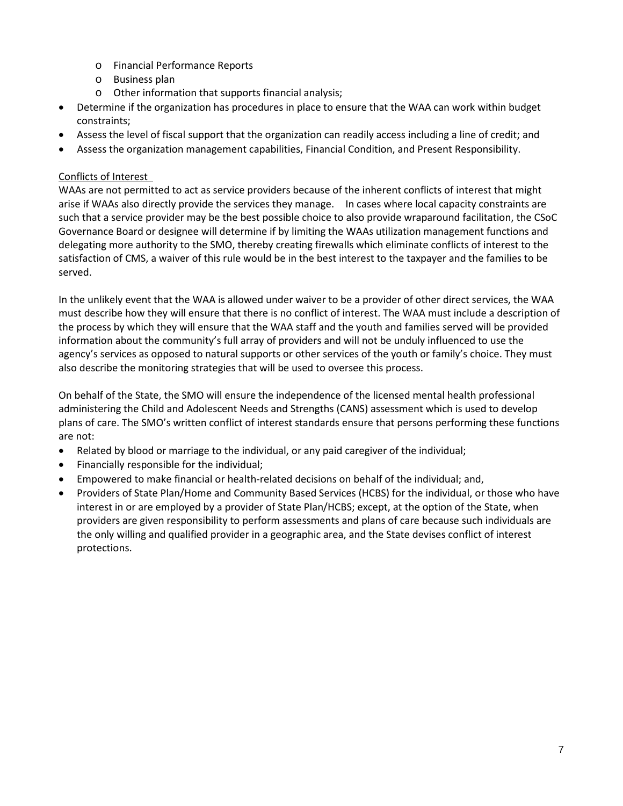- o Financial Performance Reports
- o Business plan
- o Other information that supports financial analysis;
- Determine if the organization has procedures in place to ensure that the WAA can work within budget constraints;
- Assess the level of fiscal support that the organization can readily access including a line of credit; and
- Assess the organization management capabilities, Financial Condition, and Present Responsibility.

# Conflicts of Interest

WAAs are not permitted to act as service providers because of the inherent conflicts of interest that might arise if WAAs also directly provide the services they manage. In cases where local capacity constraints are such that a service provider may be the best possible choice to also provide wraparound facilitation, the CSoC Governance Board or designee will determine if by limiting the WAAs utilization management functions and delegating more authority to the SMO, thereby creating firewalls which eliminate conflicts of interest to the satisfaction of CMS, a waiver of this rule would be in the best interest to the taxpayer and the families to be served.

In the unlikely event that the WAA is allowed under waiver to be a provider of other direct services, the WAA must describe how they will ensure that there is no conflict of interest. The WAA must include a description of the process by which they will ensure that the WAA staff and the youth and families served will be provided information about the community's full array of providers and will not be unduly influenced to use the agency's services as opposed to natural supports or other services of the youth or family's choice. They must also describe the monitoring strategies that will be used to oversee this process.

On behalf of the State, the SMO will ensure the independence of the licensed mental health professional administering the Child and Adolescent Needs and Strengths (CANS) assessment which is used to develop plans of care. The SMO's written conflict of interest standards ensure that persons performing these functions are not:

- Related by blood or marriage to the individual, or any paid caregiver of the individual;
- Financially responsible for the individual;
- Empowered to make financial or health-related decisions on behalf of the individual; and,
- Providers of State Plan/Home and Community Based Services (HCBS) for the individual, or those who have interest in or are employed by a provider of State Plan/HCBS; except, at the option of the State, when providers are given responsibility to perform assessments and plans of care because such individuals are the only willing and qualified provider in a geographic area, and the State devises conflict of interest protections.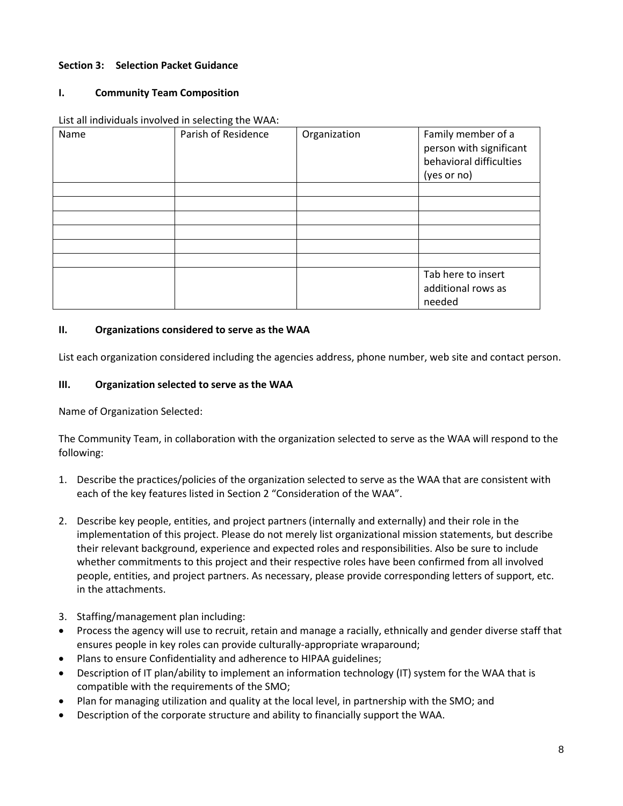## **Section 3: Selection Packet Guidance**

## **I. Community Team Composition**

| Name | Parish of Residence | Organization | Family member of a<br>person with significant<br>behavioral difficulties<br>(yes or no) |
|------|---------------------|--------------|-----------------------------------------------------------------------------------------|
|      |                     |              |                                                                                         |
|      |                     |              |                                                                                         |
|      |                     |              |                                                                                         |
|      |                     |              |                                                                                         |
|      |                     |              |                                                                                         |
|      |                     |              |                                                                                         |
|      |                     |              | Tab here to insert<br>additional rows as<br>needed                                      |

List all individuals involved in selecting the WAA:

# **II. Organizations considered to serve as the WAA**

List each organization considered including the agencies address, phone number, web site and contact person.

## **III. Organization selected to serve as the WAA**

Name of Organization Selected:

The Community Team, in collaboration with the organization selected to serve as the WAA will respond to the following:

- 1. Describe the practices/policies of the organization selected to serve as the WAA that are consistent with each of the key features listed in Section 2 "Consideration of the WAA".
- 2. Describe key people, entities, and project partners (internally and externally) and their role in the implementation of this project. Please do not merely list organizational mission statements, but describe their relevant background, experience and expected roles and responsibilities. Also be sure to include whether commitments to this project and their respective roles have been confirmed from all involved people, entities, and project partners. As necessary, please provide corresponding letters of support, etc. in the attachments.
- 3. Staffing/management plan including:
- Process the agency will use to recruit, retain and manage a racially, ethnically and gender diverse staff that ensures people in key roles can provide culturally-appropriate wraparound;
- Plans to ensure Confidentiality and adherence to HIPAA guidelines;
- Description of IT plan/ability to implement an information technology (IT) system for the WAA that is compatible with the requirements of the SMO;
- Plan for managing utilization and quality at the local level, in partnership with the SMO; and
- Description of the corporate structure and ability to financially support the WAA.